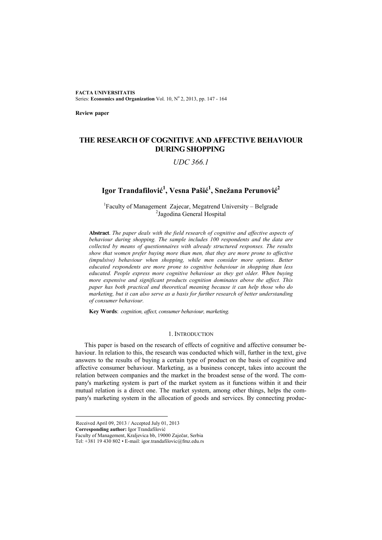**FACTA UNIVERSITATIS** Series: Economics and Organization Vol. 10, Nº 2, 2013, pp. 147 - 164

**Review paper** 

# **THE RESEARCH OF COGNITIVE AND AFFECTIVE BEHAVIOUR DURING SHOPPING**

## *UDC 366.1*

# **Igor Trandafilović 1 , Vesna Pašić 1 , Snežana Perunović 2**

<sup>1</sup>Faculty of Management Zajecar, Megatrend University – Belgrade <sup>2</sup>Jagodina General Hospital

**Abstract**. *The paper deals with the field research of cognitive and affective aspects of behaviour during shopping. The sample includes 100 respondents and the data are collected by means of questionnaires with already structured responses. The results show that women prefer buying more than men, that they are more prone to affective (impulsive) behaviour when shopping, while men consider more options. Better educated respondents are more prone to cognitive behaviour in shopping than less educated. People express more cognitive behaviour as they get older. When buying more expensive and significant products cognition dominates above the affect. This paper has both practical and theoretical meaning because it can help those who do marketing, but it can also serve as a basis for further research of better understanding of consumer behaviour.* 

**Key Words**: *cognition, affect, consumer behaviour, marketing.* 

### 1. INTRODUCTION

This paper is based on the research of effects of cognitive and affective consumer behaviour. In relation to this, the research was conducted which will, further in the text, give answers to the results of buying a certain type of product on the basis of cognitive and affective consumer behaviour. Marketing, as a business concept, takes into account the relation between companies and the market in the broadest sense of the word. The company's marketing system is part of the market system as it functions within it and their mutual relation is a direct one. The market system, among other things, helps the company's marketing system in the allocation of goods and services. By connecting produc-

**Corresponding author:** Igor Trandafilović

Received April 09, 2013 / Accepted July 01, 2013

Faculty of Management, Kraljevica bb, 19000 Zaječar, Serbia

Tel:  $+381$  19 430 802 • E-mail: igor.trandafilovic@fmz.edu.rs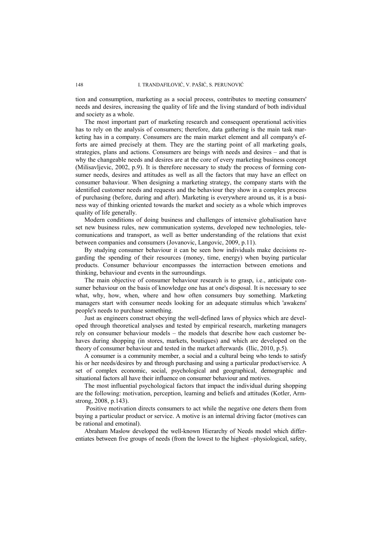tion and consumption, marketing as a social process, contributes to meeting consumers' needs and desires, increasing the quality of life and the living standard of both individual and society as a whole.

The most important part of marketing research and consequent operational activities has to rely on the analysis of consumers; therefore, data gathering is the main task marketing has in a company. Consumers are the main market element and all company's efforts are aimed precisely at them. They are the starting point of all marketing goals, strategies, plans and actions. Consumers are beings with needs and desires – and that is why the changeable needs and desires are at the core of every marketing business concept (Milisavljevic, 2002, p.9). It is therefore necessary to study the process of forming consumer needs, desires and attitudes as well as all the factors that may have an effect on consumer bahaviour. When designing a marketing strategy, the company starts with the identified customer needs and requests and the behaviour they show in a complex process of purchasing (before, during and after). Marketing is everywhere around us, it is a business way of thinking oriented towards the market and society as a whole which improves quality of life generally.

Modern conditions of doing business and challenges of intensive globalisation have set new business rules, new communication systems, developed new technologies, telecomunications and transport, as well as better understanding of the relations that exist between companies and consumers (Jovanovic, Langovic, 2009, p.11).

By studying consumer behaviour it can be seen how individuals make decisions regarding the spending of their resources (money, time, energy) when buying particular products. Consumer behaviour encompasses the interraction between emotions and thinking, behaviour and events in the surroundings.

The main objective of consumer behaviour research is to grasp, i.e., anticipate consumer behaviour on the basis of knowledge one has at one's disposal. It is necessary to see what, why, how, when, where and how often consumers buy something. Marketing managers start with consumer needs looking for an adequate stimulus which 'awakens' people's needs to purchase something.

Just as engineers construct obeying the well-defined laws of physics which are developed through theoretical analyses and tested by empirical research, marketing managers rely on consumer behaviour models – the models that describe how each customer behaves during shopping (in stores, markets, boutiques) and which are developed on the theory of consumer behaviour and tested in the market afterwards (Ilic, 2010, p.5).

A consumer is a community member, a social and a cultural being who tends to satisfy his or her needs/desires by and through purchasing and using a particular product/service. A set of complex economic, social, psychological and geographical, demographic and situational factors all have their influence on consumer behaviour and motives.

The most influential psychological factors that impact the individual during shopping are the following: motivation, perception, learning and beliefs and attitudes (Kotler, Armstrong, 2008, p.143).

 Positive motivation directs consumers to act while the negative one deters them from buying a particular product or service. A motive is an internal driving factor (motives can be rational and emotinal).

Abraham Maslow developed the well-known Hierarchy of Needs model which differentiates between five groups of needs (from the lowest to the highest –physiological, safety,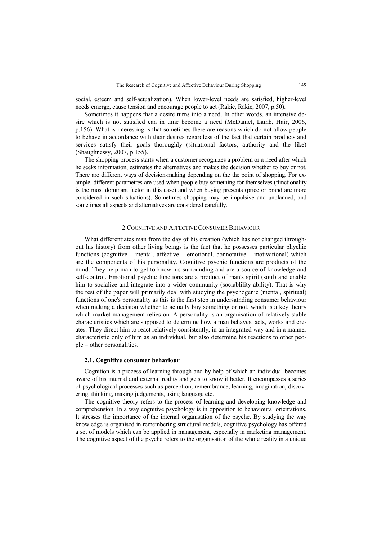social, esteem and self-actualization). When lower-level needs are satisfied, higher-level needs emerge, cause tension and encourage people to act (Rakic, Rakic, 2007, p.50).

Sometimes it happens that a desire turns into a need. In other words, an intensive desire which is not satisfied can in time become a need (McDaniel, Lamb, Hair, 2006, p.156). What is interesting is that sometimes there are reasons which do not allow people to behave in accordance with their desires regardless of the fact that certain products and services satisfy their goals thoroughly (situational factors, authority and the like) (Shaughnessy, 2007, p.155).

The shopping process starts when a customer recognizes a problem or a need after which he seeks information, estimates the alternatives and makes the decision whether to buy or not. There are different ways of decision-making depending on the the point of shopping. For example, different parametres are used when people buy something for themselves (functionality is the most dominant factor in this case) and when buying presents (price or brand are more considered in such situations). Sometimes shopping may be impulsive and unplanned, and sometimes all aspects and alternatives are considered carefully.

### 2.COGNITIVE AND AFFECTIVE CONSUMER BEHAVIOUR

What differentiates man from the day of his creation (which has not changed throughout his history) from other living beings is the fact that he possesses particular phychic functions (cognitive – mental, affective – emotional, connotative – motivational) which are the components of his personality. Cognitive psychic functions are products of the mind. They help man to get to know his surrounding and are a source of knowledge and self-control. Emotional psychic functions are a product of man's spirit (soul) and enable him to socialize and integrate into a wider community (sociablility ability). That is why the rest of the paper will primarily deal with studying the psychogenic (mental, spiritual) functions of one's personality as this is the first step in undersatnding consumer behaviour when making a decision whether to actually buy something or not, which is a key theory which market management relies on. A personality is an organisation of relatively stable characteristics which are supposed to determine how a man behaves, acts, works and creates. They direct him to react relatively consistently, in an integrated way and in a manner characteristic only of him as an individual, but also determine his reactions to other people – other personalities.

#### **2.1. Cognitive consumer behaviour**

Cognition is a process of learning through and by help of which an individual becomes aware of his internal and external reality and gets to know it better. It encompasses a series of psychological processes such as perception, remembrance, learning, imagination, discovering, thinking, making judgements, using language etc.

The cognitive theory refers to the process of learning and developing knowledge and comprehension. In a way cognitive psychology is in opposition to behavioural orientations. It stresses the importance of the internal organisation of the psyche. By studying the way knowledge is organised in remembering structural models, cognitive psychology has offered a set of models which can be applied in management, especially in marketing management. The cognitive aspect of the psyche refers to the organisation of the whole reality in a unique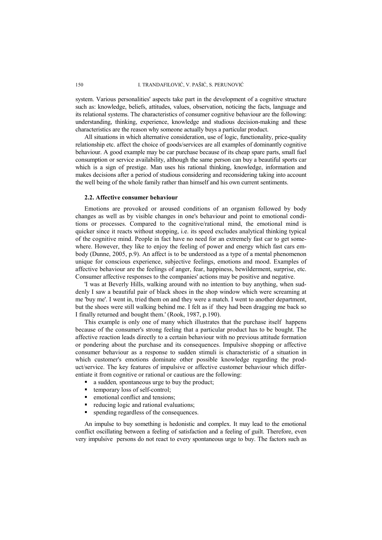#### 150 I. TRANDAFILOVIĆ, V. PAŠIĆ, S. PERUNOVIĆ

system. Various personalities' aspects take part in the development of a cognitive structure such as: knowledge, beliefs, attitudes, values, observation, noticing the facts, language and its relational systems. The characteristics of consumer cognitive behaviour are the following: understanding, thinking, experience, knowledge and studious decision-making and these characteristics are the reason why someone actually buys a particular product.

All situations in which alternative consideration, use of logic, functionality, price-quality relationship etc. affect the choice of goods/services are all examples of dominantly cognitive behaviour. A good example may be car purchase because of its cheap spare parts, small fuel consumption or service availability, although the same person can buy a beautiful sports car which is a sign of prestige. Man uses his rational thinking, knowledge, information and makes decisions after a period of studious considering and reconsidering taking into account the well being of the whole family rather than himself and his own current sentiments.

#### **2.2. Affective consumer behaviour**

Emotions are provoked or aroused conditions of an organism followed by body changes as well as by visible changes in one's behaviour and point to emotional conditions or processes. Compared to the cognitive/rational mind, the emotional mind is quicker since it reacts without stopping, i.e. its speed excludes analytical thinking typical of the cognitive mind. People in fact have no need for an extremely fast car to get somewhere. However, they like to enjoy the feeling of power and energy which fast cars embody (Dunne, 2005, p.9). An affect is to be understood as a type of a mental phenomenon unique for conscious experience, subjective feelings, emotions and mood. Examples of affective behaviour are the feelings of anger, fear, happiness, bewilderment, surprise, etc. Consumer affective responses to the companies' actions may be positive and negative.

'I was at Beverly Hills, walking around with no intention to buy anything, when suddenly I saw a beautiful pair of black shoes in the shop window which were screaming at me 'buy me'. I went in, tried them on and they were a match. I went to another department, but the shoes were still walking behind me. I felt as if they had been dragging me back so I finally returned and bought them.' (Rook, 1987, p.190).

This example is only one of many which illustrates that the purchase itself happens because of the consumer's strong feeling that a particular product has to be bought. The affective reaction leads directly to a certain behaviour with no previous attitude formation or pondering about the purchase and its consequences. Impulsive shopping or affective consumer behaviour as a response to sudden stimuli is characteristic of a situation in which customer's emotions dominate other possible knowledge regarding the product/service. The key features of impulsive or affective customer behaviour which differentiate it from cognitive or rational or cautious are the following:

a sudden*,* spontaneous urge to buy the product;

- $\blacksquare$  temporary loss of self-control;
- $\blacksquare$  emotional conflict and tensions:
- reducing logic and rational evaluations;
- spending regardless of the consequences.

An impulse to buy something is hedonistic and complex. It may lead to the emotional conflict oscillating between a feeling of satisfaction and a feeling of guilt. Therefore, even very impulsive persons do not react to every spontaneous urge to buy. The factors such as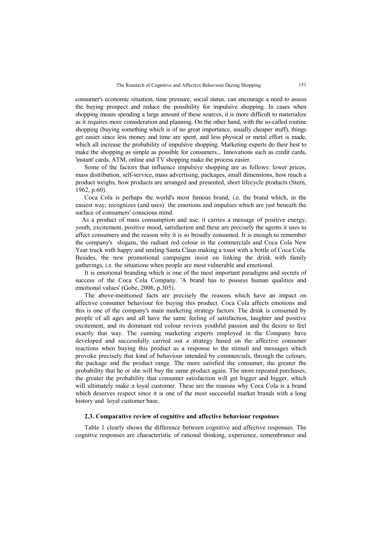consumer's economic situation, time pressure, social status, can encourage a need to assess the buying prospect and reduce the possibility for impulsive shopping. In cases when shopping means spending a large amount of these sources, it is more difficult to materialize as it requires more consideration and planning. On the other hand, with the so-called routine shopping (buying something which is of no great importance, usually cheaper stuff), things get easier since less money and time are spent, and less physical or metal effort is made, which all increase the probability of impulsive shopping. Marketing experts do their best to make the shopping as simple as possible for consumers... Innovations such as credit cards, 'instant' cards, ATM, online and TV shopping make the process easier.

Some of the factors that influence impulsive shopping are as follows: lower prices, mass distribution, self-service, mass advertising, packages, small dimensions, how much a product weighs, how products are arranged and presented, short lifecycle products (Stern, 1962, p.60).

Coca Cola is perhaps the world's most famous brand, i.e. the brand which, in the easiest way, recognizes (and uses) the emotions and impulses which are just beneath the surface of consumers' conscious mind.

 As a product of mass consumption and use, it carries a message of positive energy, youth, excitement, positive mood, satisfaction and these are precisely the agents it uses to affect consumers and the reason why it is so broadly consumed. It is enough to remember the company's slogans, the radiant red colour in the commercials and Coca Cola New Year truck with happy and smiling Santa Claus making a toast with a bottle of Coca Cola. Besides, the new promotional campaigns insist on linking the drink with family gatherings, i.e. the situations when people are most vulnerable and emotional.

It is emotional branding which is one of the most important paradigms and secrets of success of the Coca Cola Company. 'A brand has to possess human qualities and emotional values' (Gobe, 2006, p.305).

The above-mentioned facts are precisely the reasons which have an impact on affective consumer behaviour for buying this product. Coca Cola affects emotions and this is one of the company's main marketing strategy factors. The drink is consumed by people of all ages and all have the same feeling of satisfaction, laughter and positive excitement, and its dominant red colour revives youthful passion and the desire to feel exactly that way. The cunning marketing experts employed in the Company have developed and successfully carried out a strategy based on the affective consumer reactions when buying this product as a response to the stimuli and messages which provoke precisely that kind of behaviour intended by commercials, through the colours, the package and the product range. The more satisfied the consumer, the greater the probability that he or she will buy the same product again. The more repeated purchases, the greater the probability that consumer satisfaction will get bigger and bigger, which will ultimately make a loyal customer. These are the reasons why Coca Cola is a brand which deserves respect since it is one of the most successful market brands with a long history and loyal customer base.

#### **2.3. Comparative review of cognitive and affective behaviour responses**

Table 1 clearly shows the difference between cognitive and affective responses. The cognitve responses are characteristic of rational thinking, experience, remembrance and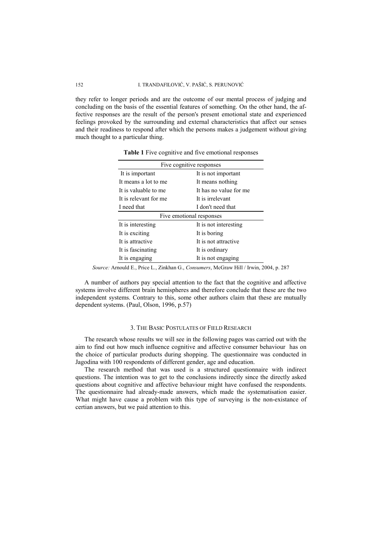#### 152 I. TRANDAFILOVIĆ, V. PAŠIĆ, S. PERUNOVIĆ

they refer to longer periods and are the outcome of our mental process of judging and concluding on the basis of the essential features of something. On the other hand, the affective responses are the result of the person's present emotional state and experienced feelings provoked by the surrounding and external characteristics that affect our senses and their readiness to respond after which the persons makes a judgement without giving much thought to a particular thing.

| Five cognitive responses               |                        |  |
|----------------------------------------|------------------------|--|
| It is not important<br>It is important |                        |  |
| It means a lot to me                   | It means nothing       |  |
| It is valuable to me                   | It has no value for me |  |
| It is relevant for me                  | It is irrelevant       |  |
| I need that                            | I don't need that      |  |
| Five emotional responses               |                        |  |
| It is interesting                      | It is not interesting  |  |
| It is exciting                         | It is boring           |  |
| It is attractive                       | It is not attractive   |  |
| It is fascinating                      | It is ordinary         |  |
| It is engaging                         | It is not engaging     |  |

**Table 1** Five cognitive and five emotional responses

*Source:* Arnould E., Price L., Zinkhan G., *Consumers*, McGraw Hill / Irwin, 2004, p. 287

A number of authors pay special attention to the fact that the cognitive and affective systems involve different brain hemispheres and therefore conclude that these are the two independent systems. Contrary to this, some other authors claim that these are mutually dependent systems. (Paul, Olson, 1996, p.57)

#### 3. THE BASIC POSTULATES OF FIELD RESEARCH

The research whose results we will see in the following pages was carried out with the aim to find out how much influence cognitive and affective consumer behaviour has on the choice of particular products during shopping. The questionnaire was conducted in Jagodina with 100 respondents of different gender, age and education.

The research method that was used is a structured questionnaire with indirect questions. The intention was to get to the conclusions indirectly since the directly asked questions about cognitive and affective behaviour might have confused the respondents. The questionnaire had already-made answers, which made the systematisation easier. What might have cause a problem with this type of surveying is the non-existance of certian answers, but we paid attention to this.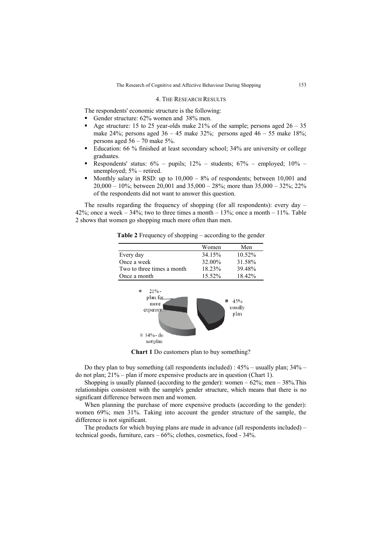#### 4. THE RESEARCH RESULTS

The respondents' economic structure is the following:

- Gender structure:  $62\%$  women and 38% men.
- Age structure: 15 to 25 year-olds make 21% of the sample; persons aged  $26 35$ make 24%; persons aged  $36 - 45$  make  $32\%$ ; persons aged  $46 - 55$  make  $18\%$ ; persons aged 56 – 70 make 5%.
- Education: 66 % finished at least secondary school; 34% are university or college graduates.
- Respondents' status: 6% pupils; 12% students; 67% employed; 10% unemployed; 5% – retired.
- Monthly salary in RSD: up to  $10,000 8%$  of respondents; between 10,001 and 20,000 – 10%; between 20,001 and 35,000 – 28%; more than 35,000 – 32%; 22% of the respondents did not want to answer this question.

The results regarding the frequency of shopping (for all respondents): every day – 42%; once a week  $-34\%$ ; two to three times a month  $-13\%$ ; once a month  $-11\%$ . Table 2 shows that women go shopping much more often than men.

**Table 2** Frequency of shopping – according to the gender

|                            | Women  | Men    |
|----------------------------|--------|--------|
| Every day                  | 34.15% | 10.52% |
| Once a week                | 32.00% | 31.58% |
| Two to three times a month | 18 23% | 39 48% |
| Once a month               | 15.52% | 18.42% |
|                            |        |        |



**Chart 1** Do customers plan to buy something?

Do they plan to buy something (all respondents included) : 45% – usually plan; 34% – do not plan; 21% – plan if more expensive products are in question (Chart 1).

Shopping is usually planned (according to the gender): women  $-62\%$ ; men  $-38\%$ . This relationshipis consistent with the sample's gender structure, which means that there is no significant difference between men and women.

When planning the purchase of more expensive products (according to the gender): women 69%; men 31%. Taking into account the gender structure of the sample, the difference is not significant.

The products for which buying plans are made in advance (all respondents included) – technical goods, furniture, cars – 66%; clothes, cosmetics, food - 34%.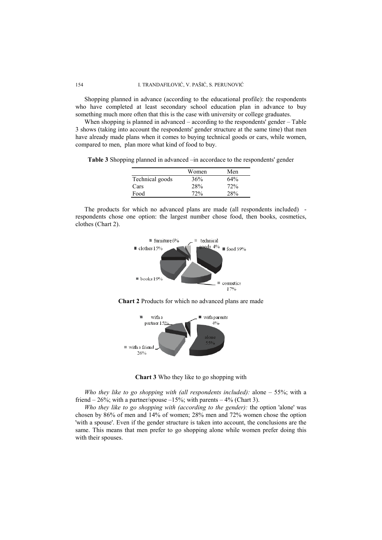Shopping planned in advance (according to the educational profile): the respondents who have completed at least secondary school education plan in advance to buy something much more often that this is the case with university or college graduates.

When shopping is planned in advanced – according to the respondents' gender – Table 3 shows (taking into account the respondents' gender structure at the same time) that men have already made plans when it comes to buying technical goods or cars, while women, compared to men, plan more what kind of food to buy.

**Table 3** Shopping planned in advanced –in accordace to the respondents' gender

|                 | Women | Men |
|-----------------|-------|-----|
| Technical goods | 36%   | 64% |
| Cars            | 28%   | 72% |
| Food            | 72%   | 28% |

The products for which no advanced plans are made (all respondents included) respondents chose one option: the largest number chose food, then books, cosmetics, clothes (Chart 2).







**Chart 3** Who they like to go shopping with

*Who they like to go shopping with (all respondents included):* alone – 55%; with a friend  $-26\%$ ; with a partner/spouse  $-15\%$ ; with parents  $-4\%$  (Chart 3).

*Who they like to go shopping with (according to the gender):* the option 'alone' was chosen by 86% of men and 14% of women; 28% men and 72% women chose the option 'with a spouse'. Even if the gender structure is taken into account, the conclusions are the same. This means that men prefer to go shopping alone while women prefer doing this with their spouses.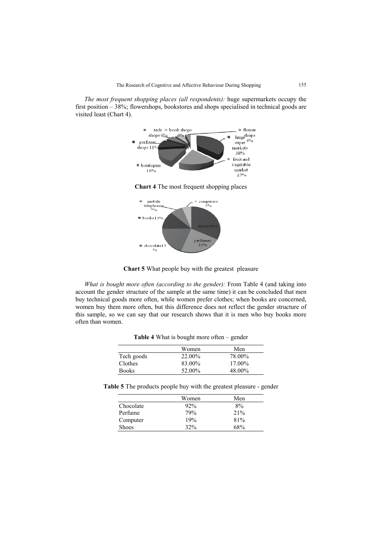*The most frequent shopping places (all respondents):* huge supermarkets occupy the first position – 38%; flowershops, bookstores and shops specialised in technical goods are visited least (Chart 4).



**Chart 5** What people buy with the greatest pleasure

 $\equiv$  chocolatel  $\frac{1}{2}$  $\overline{\mathbf{9}}_0$ 

perfume:

*What is bought more often (according to the gender):* From Table 4 (and taking into account the gender structure of the sample at the same time) it can be concluded that men buy technical goods more often, while women prefer clothes; when books are concerned, women buy them more often, but this difference does not reflect the gender structure of this sample, so we can say that our research shows that it is men who buy books more often than women.

|              | <b>THOIC</b> I What to cought more crient genuel |        |
|--------------|--------------------------------------------------|--------|
|              | Women                                            | Men    |
| Tech goods   | 22.00%                                           | 78.00% |
| Clothes      | 83.00%                                           | 17.00% |
| <b>Books</b> | 52.00%                                           | 48.00% |

**Table 4** What is bought more often – gender

**Table 5** The products people buy with the greatest pleasure - gender

|              | Women | Men |
|--------------|-------|-----|
| Chocolate    | 92%   | 8%  |
| Perfume      | 79%   | 21% |
| Computer     | 19%   | 81% |
| <b>Shoes</b> | 32%   | 68% |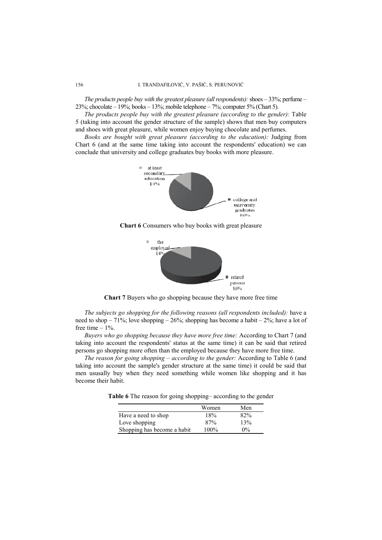*The products people buy with the greatest pleasure (all respondents):* shoes – 33%; perfume – 23%; chocolate – 19%; books – 13%; mobile telephone – 7%; computer 5% (Chart 5).

*The products people buy with the greatest pleasure (according to the gender):* Table 5 (taking into account the gender structure of the sample) shows that men buy computers and shoes with great pleasure, while women enjoy buying chocolate and perfumes.

*Books are bought with great pleasure (according to the education):* Judging from Chart 6 (and at the same time taking into account the respondents' education) we can conclude that university and college graduates buy books with more pleasure.



**Chart 6** Consumers who buy books with great pleasure



**Chart 7** Buyers who go shopping because they have more free time

*The subjects go shopping for the following reasons (all respondents included):* have a need to shop – 71%; love shopping – 26%; shopping has become a habit –  $2\%$ ; have a lot of free time – 1%.

*Buyers who go shopping because they have more free time:* According to Chart 7 (and taking into account the respondents' status at the same time) it can be said that retired persons go shopping more often than the employed because they have more free time.

*The reason for going shopping – according to the gender:* According to Table 6 (and taking into account the sample's gender structure at the same time) it could be said that men ususally buy when they need something while women like shopping and it has become their habit.

**Table 6** The reason for going shopping– according to the gender

|                             | Women   | Men   |
|-----------------------------|---------|-------|
| Have a need to shop         | 18%     | 82%   |
| Love shopping               | 87%     | 13%   |
| Shopping has become a habit | $100\%$ | $0\%$ |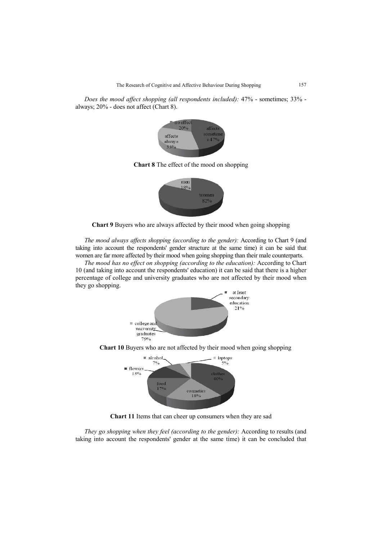*Does the mood affect shopping (all respondents included):* 47% - sometimes; 33% always; 20% - does not affect (Chart 8).



**Chart 8** The effect of the mood on shopping



**Chart 9** Buyers who are always affected by their mood when going shopping

*The mood always affects shopping (according to the gender):* According to Chart 9 (and taking into account the respondents' gender structure at the same time) it can be said that women are far more affected by their mood when going shopping than their male counterparts.

*The mood has no effect on shopping (according to the education):* According to Chart 10 (and taking into account the respondents' education) it can be said that there is a higher percentage of college and university graduates who are not affected by their mood when they go shopping.



**Chart 10** Buyers who are not affected by their mood when going shopping



**Chart 11** Items that can cheer up consumers when they are sad

*They go shopping when they feel (according to the gender):* According to results (and taking into account the respondents' gender at the same time) it can be concluded that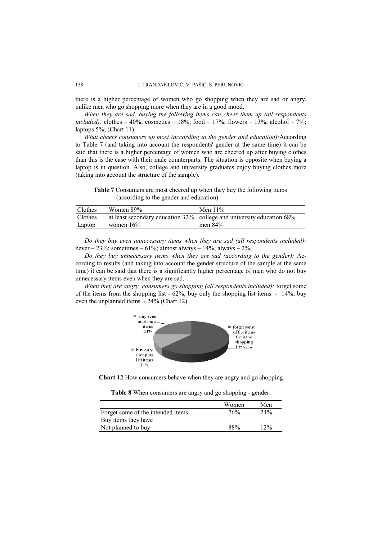there is a higher percentage of women who go shopping when they are sad or angry, unlike men who go shopping more when they are in a good mood.

*When they are sad, buying the following items can cheer them up (all respondents included):* clothes – 40%; cosmetics – 18%; food – 17%; flowers – 13%; alcohol – 7%; laptops 5%; (Chart 11).

*What cheers consumers up most (according to the gender and education):*According to Table 7 (and taking into account the respondents' gender at the same time) it can be said that there is a higher percentage of women who are cheered up after buying clothes than this is the case with their male counterparts. The situation is opposite when buying a laptop is in question. Also, college and university graduates enjoy buying clothes more (taking into account the structure of the sample).

**Table 7** Consumers are most cheered up when they buy the following items (according to the gender and education)

| Clothes | Women 89%    | Men $11\%$                                                            |
|---------|--------------|-----------------------------------------------------------------------|
| Clothes |              | at least secondary education 32% college and university education 68% |
| Laptop  | women $16\%$ | men 84%                                                               |

*Do they buy even unnecessary items when they are sad (all respondents included):*  never –  $23\%$ ; sometimes –  $61\%$ ; almost always –  $14\%$ ; always –  $2\%$ .

*Do they buy unnecessary items when they are sad (according to the gender):* According to results (and taking into account the gender structure of the sample at the same time) it can be said that there is a significantly higher percentage of men who do not buy unnecessary items even when they are sad.

*When they are angry, consumers go shopping (all respondents included):* forget some of the items from the shopping list *-* 62%; buy only the shopping list items *-* 14%; buy even the unplanned items *-* 24% (Chart 12).



**Chart 12** How consumers behave when they are angry and go shopping

|  | Table 8 When consumers are angry and go shopping - gender. |  |  |  |  |
|--|------------------------------------------------------------|--|--|--|--|
|  |                                                            |  |  |  |  |

|                                   | Women | Men |
|-----------------------------------|-------|-----|
| Forget some of the intended items | 76%   | 24% |
| Buy items they have               |       |     |
| Not planned to buy                | 88%   | 12% |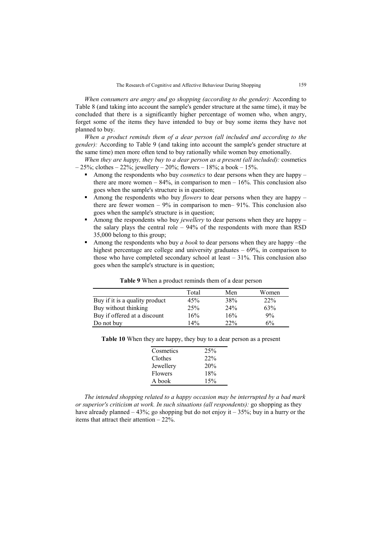*When consumers are angry and go shopping (according to the gender):* According to Table 8 (and taking into account the sample's gender structure at the same time), it may be concluded that there is a significantly higher percentage of women who, when angry, forget some of the items they have intended to buy or buy some items they have not planned to buy.

*When a product reminds them of a dear person (all included and according to the gender):* According to Table 9 (and taking into account the sample's gender structure at the same time) men more often tend to buy rationally while women buy emotionally.

*When they are happy, they buy to a dear person as a present (all included):* cosmetics  $-25\%$ ; clothes  $-22\%$ ; jewellery  $-20\%$ ; flowers  $-18\%$ ; a book  $-15\%$ .

- Among the respondents who buy *cosmetics* to dear persons when they are happy there are more women  $-84\%$ , in comparison to men  $-16\%$ . This conclusion also goes when the sample's structure is in question;
- Among the respondents who buy *flowers* to dear persons when they are happy there are fewer women  $-9\%$  in comparison to men-91%. This conclusion also goes when the sample's structure is in question;
- Among the respondents who buy *jewellery* to dear persons when they are happy the salary plays the central role – 94% of the respondents with more than RSD 35,000 belong to this group;
- Among the respondents who buy *a book* to dear persons when they are happy –the highest percentage are college and university graduates – 69%, in comparison to those who have completed secondary school at least – 31%. This conclusion also goes when the sample's structure is in question;

|                                | Total | Men | Women |
|--------------------------------|-------|-----|-------|
| Buy if it is a quality product | 45%   | 38% | 22%   |
| Buy without thinking           | 25%   | 24% | 63%   |
| Buy if offered at a discount   | 16%   | 16% | 9%    |
| Do not buy                     | 14%   | 22% | 6%    |

**Table 9** When a product reminds them of a dear person

|  | Table 10 When they are happy, they buy to a dear person as a present |
|--|----------------------------------------------------------------------|
|--|----------------------------------------------------------------------|

| Cosmetics | 25% |
|-----------|-----|
| Clothes   | 22% |
| Jewellery | 20% |
| Flowers   | 18% |
| A book    | 15% |

*The intended shopping related to a happy occasion may be interrupted by a bad mark or superior's criticism at work. In such situations (all respondents):* go shopping as they have already planned  $-43\%$ ; go shopping but do not enjoy it  $-35\%$ ; buy in a hurry or the items that attract their attention – 22%.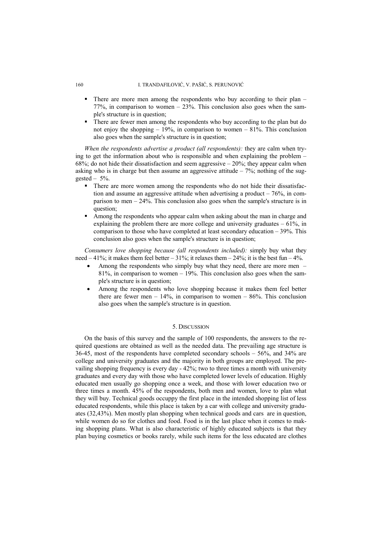#### 160 I. TRANDAFILOVIĆ, V. PAŠIĆ, S. PERUNOVIĆ

- There are more men among the respondents who buy according to their plan 77%, in comparison to women – 23%. This conclusion also goes when the sample's structure is in question;
- There are fewer men among the respondents who buy according to the plan but do not enjoy the shopping  $-19\%$ , in comparison to women  $-81\%$ . This conclusion also goes when the sample's structure is in question;

*When the respondents advertise a product (all respondents):* they are calm when trying to get the information about who is responsible and when explaining the problem – 68%; do not hide their dissatisfaction and seem aggressive  $-20\%$ ; they appear calm when asking who is in charge but then assume an aggressive attitude  $-7\%$ ; nothing of the suggested –  $5\%$ .

- There are more women among the respondents who do not hide their dissatisfaction and assume an aggressive attitude when advertising a product  $-76\%$ , in comparison to men – 24%. This conclusion also goes when the sample's structure is in question;
- Among the respondents who appear calm when asking about the man in charge and explaining the problem there are more college and university graduates  $-61\%$ , in comparison to those who have completed at least secondary education – 39%. This conclusion also goes when the sample's structure is in question;

*Consumers love shopping because (all respondents included):* simply buy what they need  $-41\%$ ; it makes them feel better  $-31\%$ ; it relaxes them  $-24\%$ ; it is the best fun  $-4\%$ .

- Among the respondents who simply buy what they need, there are more men 81%, in comparison to women – 19%. This conclusion also goes when the sample's structure is in question;
- Among the respondents who love shopping because it makes them feel better there are fewer men –  $14\%$ , in comparison to women –  $86\%$ . This conclusion also goes when the sample's structure is in question.

### 5. DISCUSSION

On the basis of this survey and the sample of 100 respondents, the answers to the required questions are obtained as well as the needed data. The prevailing age structure is 36-45, most of the respondents have completed secondary schools – 56%, and 34% are college and university graduates and the majority in both groups are employed. The prevailing shopping frequency is every day - 42%; two to three times a month with university graduates and every day with those who have completed lower levels of education. Highly educated men usually go shopping once a week, and those with lower education two or three times a month. 45% of the respondents, both men and women, love to plan what they will buy. Technical goods occuppy the first place in the intended shopping list of less educated respondents, while this place is taken by a car with college and university graduates (32,43%). Men mostly plan shopping when technical goods and cars are in question, while women do so for clothes and food. Food is in the last place when it comes to making shopping plans. What is also characteristic of highly educated subjects is that they plan buying cosmetics or books rarely, while such items for the less educated are clothes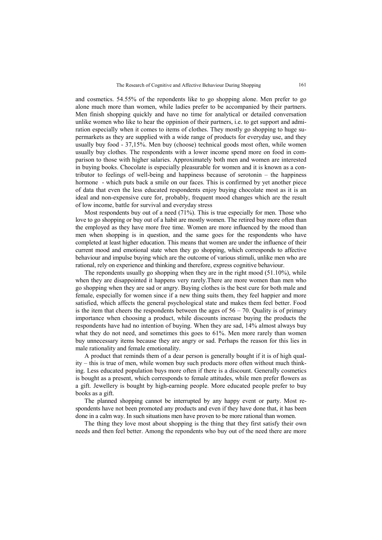and cosmetics. 54.55% of the repondents like to go shopping alone. Men prefer to go alone much more than women, while ladies prefer to be accompanied by their partners. Men finish shopping quickly and have no time for analytical or detailed conversation unlike women who like to hear the oppinion of their partners, i.e. to get support and admiration especially when it comes to items of clothes. They mostly go shopping to huge supermarkets as they are supplied with a wide range of products for everyday use, and they usually buy food - 37,15%. Men buy (choose) technical goods most often, while women usually buy clothes. The respondents with a lower income spend more on food in comparison to those with higher salaries. Approximately both men and women are interested in buying books. Chocolate is especially pleasurable for women and it is known as a contributor to feelings of well-being and happiness because of serotonin – the happiness hormone - which puts back a smile on our faces. This is confirmed by yet another piece of data that even the less educated respondents enjoy buying chocolate most as it is an ideal and non-expensive cure for, probably, frequent mood changes which are the result of low income, battle for survival and everyday stress

Most respondents buy out of a need (71%). This is true especially for men. Those who love to go shopping or buy out of a habit are mostly women. The retired buy more often than the employed as they have more free time. Women are more influenced by the mood than men when shopping is in question, and the same goes for the respondents who have completed at least higher education. This means that women are under the influence of their current mood and emotional state when they go shopping, which corresponds to affective behaviour and impulse buying which are the outcome of various stimuli, unlike men who are rational, rely on experience and thinking and therefore, express cognitive behaviour.

The repondents usually go shopping when they are in the right mood (51.10%), while when they are disappointed it happens very rarely.There are more women than men who go shopping when they are sad or angry. Buying clothes is the best cure for both male and female, especially for women since if a new thing suits them, they feel happier and more satisfied, which affects the general psychological state and makes them feel better. Food is the item that cheers the respondents between the ages of  $56 - 70$ . Quality is of primary importance when choosing a product, while discounts increase buying the products the respondents have had no intention of buying. When they are sad, 14% almost always buy what they do not need, and sometimes this goes to 61%. Men more rarely than women buy unnecessary items because they are angry or sad. Perhaps the reason for this lies in male rationality and female emotionality.

A product that reminds them of a dear person is generally bought if it is of high quality – this is true of men, while women buy such products more often without much thinking. Less educated population buys more often if there is a discount. Generally cosmetics is bought as a present, which corresponds to female attitudes, while men prefer flowers as a gift. Jewellery is bought by high-earning people. More educated people prefer to buy books as a gift.

The planned shopping cannot be interrupted by any happy event or party. Most respondents have not been promoted any products and even if they have done that, it has been done in a calm way. In such situations men have proven to be more rational than women.

The thing they love most about shopping is the thing that they first satisfy their own needs and then feel better. Among the repondents who buy out of the need there are more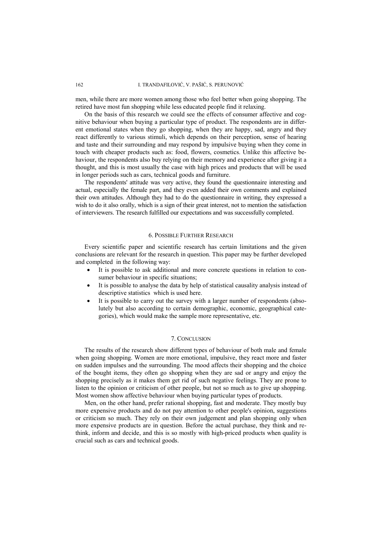men, while there are more women among those who feel better when going shopping. The retired have most fun shopping while less educated people find it relaxing.

On the basis of this research we could see the effects of consumer affective and cognitive behaviour when buying a particular type of product. The respondents are in different emotional states when they go shopping, when they are happy, sad, angry and they react differently to various stimuli, which depends on their perception, sense of hearing and taste and their surrounding and may respond by impulsive buying when they come in touch with cheaper products such as: food, flowers, cosmetics. Unlike this affective behaviour, the respondents also buy relying on their memory and experience after giving it a thought, and this is most usually the case with high prices and products that will be used in longer periods such as cars, technical goods and furniture.

The respondents' attitude was very active, they found the questionnaire interesting and actual, especially the female part, and they even added their own comments and explained their own attitudes. Although they had to do the questionnaire in writing, they expressed a wish to do it also orally, which is a sign of their great interest, not to mention the satisfaction of interviewers. The research fulfilled our expectations and was successfully completed.

#### 6. POSSIBLE FURTHER RESEARCH

Every scientific paper and scientific research has certain limitations and the given conclusions are relevant for the research in question. This paper may be further developed and completed in the following way:

- It is possible to ask additional and more concrete questions in relation to consumer behaviour in specific situations;
- It is possible to analyse the data by help of statistical causality analysis instead of descriptive statistics which is used here.
- It is possible to carry out the survey with a larger number of respondents (absolutely but also according to certain demographic, economic, geographical categories), which would make the sample more representative, etc.

### 7. CONCLUSION

The results of the research show different types of behaviour of both male and female when going shopping. Women are more emotional, impulsive, they react more and faster on sudden impulses and the surrounding. The mood affects their shopping and the choice of the bought items, they often go shopping when they are sad or angry and enjoy the shopping precisely as it makes them get rid of such negative feelings. They are prone to listen to the opinion or criticism of other people, but not so much as to give up shopping. Most women show affective behaviour when buying particular types of products.

Men, on the other hand, prefer rational shopping, fast and moderate. They mostly buy more expensive products and do not pay attention to other people's opinion, suggestions or criticism so much. They rely on their own judgement and plan shopping only when more expensive products are in question. Before the actual purchase, they think and rethink, inform and decide, and this is so mostly with high-priced products when quality is crucial such as cars and technical goods.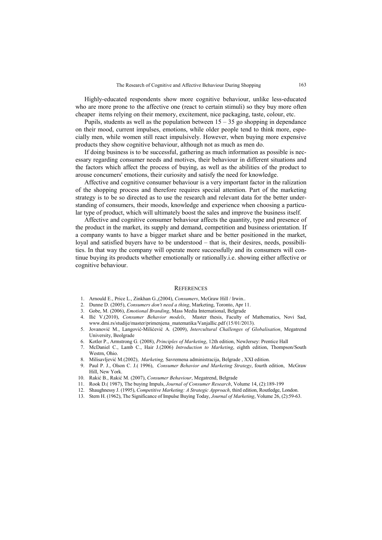Highly-educated respondents show more cognitive behaviour, unlike less-educated who are more prone to the affective one (react to certain stimuli) so they buy more often cheaper items relying on their memory, excitement, nice packaging, taste, colour, etc.

Pupils, students as well as the population between  $15 - 35$  go shopping in dependance on their mood, current impulses, emotions, while older people tend to think more, especially men, while women still react impulsively. However, when buying more expensive products they show cognitive behaviour, although not as much as men do.

If doing business is to be successful, gathering as much information as possible is necessary regarding consumer needs and motives, their behaviour in different situations and the factors which affect the process of buying, as well as the abilities of the product to arouse concumers' emotions, their curiosity and satisfy the need for knowledge.

Affective and cognitive consumer behaviour is a very important factor in the ralization of the shopping process and therefore requires special attention. Part of the marketing strategy is to be so directed as to use the research and relevant data for the better understanding of consumers, their moods, knowledge and experience when choosing a particular type of product, which will ultimately boost the sales and improve the business itself.

Affective and cognitive consumer behaviour affects the quantity, type and presence of the product in the market, its supply and demand, competition and business orientation. If a company wants to have a bigger market share and be better positioned in the market, loyal and satisfied buyers have to be understood – that is, their desires, needs, possibilities. In that way the company will operate more successfully and its consumers will continue buying its products whether emotionally or rationally.i.e. showing either affective or cognitive behaviour.

#### **REFERENCES**

- 1. Arnould E., Price L., Zinkhan G.,(2004), *Consumers*, McGraw Hill / Irwin..
- 2. Dunne D. (2005), *Consumers don't need a thing*, Marketing, Toronto, Apr 11.
- 3. Gobe, M. (2006), *Emotional Branding*, Mass Media International, Belgrade
- 4. Ilić V.(2010), *Consumer Behavior models*, Master thesis, Faculty of Mathematics, Novi Sad, www.dmi.rs/studije/master/primenjena\_matematika/VanjaIlic.pdf (15/01/2013).
- 5. Jovanović M., Langović-Milićević A. (2009), *Intercultural Challenges of Globalisation*, Megatrend University, Beolgrade
- 6. Kotler P., Armstrong G. (2008), *Principles of Marketing*, 12th edition, NewJersey: Prentice Hall
- 7. McDaniel C., Lamb C., Hair J.(2006) *Introduction to Marketing*, eighth edition, Thompson/South Westrn, Ohio.
- 8. Milisavljević M.(2002), *Marketing,* Savremena administracija, Belgrade , XXI edition.
- 9. Paul P. J., Olson C. J.( 1996), *Consumer Behavior and Marketing Strategy*, fourth edition, McGraw Hill, New York.
- 10. Rakić B., Rakić M. (2007), *Consumer Behaviour*, Megatrend, Belgrade
- 11. Rook D.( 1987), The buying Impuls, *Journal of Consumer Research*, Volume 14, (2):189-199
- 12. Shaughnessy J. (1995), *Competitive Marketing: A Strategic Approach*, third edition, Routledge, London.
- 13. Stern H. (1962), The Significance of Impulse Buying Today, *Journal of Marketing*, Volume 26, (2):59-63.